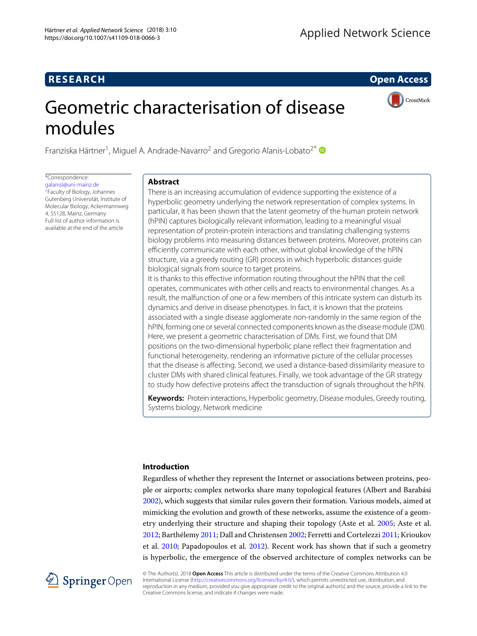# **RESEARCH Open Access**

CrossMark

# Geometric characterisation of disease modules

Franziska Härtner<sup>1</sup>, Miguel A. Andrade-Navarro<sup>2</sup> and Gregorio Alanis-Lobato<sup>2\*</sup>

\*Correspondence: [galanisl@uni-mainz.de](mailto: galanisl@uni-mainz.de) 2Faculty of Biology, Johannes Gutenberg Universität, Institute of Molecular Biology, Ackermannweg 4, 55128, Mainz, Germany Full list of author information is available at the end of the article

## **Abstract**

There is an increasing accumulation of evidence supporting the existence of a hyperbolic geometry underlying the network representation of complex systems. In particular, it has been shown that the latent geometry of the human protein network (hPIN) captures biologically relevant information, leading to a meaningful visual representation of protein-protein interactions and translating challenging systems biology problems into measuring distances between proteins. Moreover, proteins can efficiently communicate with each other, without global knowledge of the hPIN structure, via a greedy routing (GR) process in which hyperbolic distances guide biological signals from source to target proteins.

It is thanks to this effective information routing throughout the hPIN that the cell operates, communicates with other cells and reacts to environmental changes. As a result, the malfunction of one or a few members of this intricate system can disturb its dynamics and derive in disease phenotypes. In fact, it is known that the proteins associated with a single disease agglomerate non-randomly in the same region of the hPIN, forming one or several connected components known as the disease module (DM). Here, we present a geometric characterisation of DMs. First, we found that DM positions on the two-dimensional hyperbolic plane reflect their fragmentation and functional heterogeneity, rendering an informative picture of the cellular processes that the disease is affecting. Second, we used a distance-based dissimilarity measure to cluster DMs with shared clinical features. Finally, we took advantage of the GR strategy to study how defective proteins affect the transduction of signals throughout the hPIN.

**Keywords:** Protein interactions, Hyperbolic geometry, Disease modules, Greedy routing, Systems biology, Network medicine

## **Introduction**

Regardless of whether they represent the Internet or associations between proteins, people or airports; complex networks share many topological features (Albert and Barabási [2002\)](#page-14-0), which suggests that similar rules govern their formation. Various models, aimed at mimicking the evolution and growth of these networks, assume the existence of a geometry underlying their structure and shaping their topology (Aste et al. [2005;](#page-14-1) Aste et al. [2012;](#page-14-2) Barthélemy [2011;](#page-14-3) Dall and Christensen [2002;](#page-14-4) Ferretti and Cortelezzi [2011;](#page-14-5) Krioukov et al. [2010;](#page-15-0) Papadopoulos et al. [2012\)](#page-15-1). Recent work has shown that if such a geometry is hyperbolic, the emergence of the observed architecture of complex networks can be



© The Author(s). 2018 **Open Access** This article is distributed under the terms of the Creative Commons Attribution 4.0 International License [\(http://creativecommons.org/licenses/by/4.0/\)](http://creativecommons.org/licenses/by/4.0/), which permits unrestricted use, distribution, and reproduction in any medium, provided you give appropriate credit to the original author(s) and the source, provide a link to the Creative Commons license, and indicate if changes were made.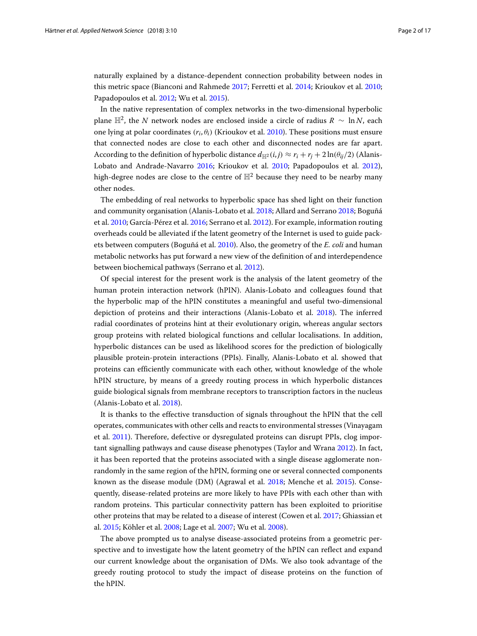naturally explained by a distance-dependent connection probability between nodes in this metric space (Bianconi and Rahmede [2017;](#page-14-6) Ferretti et al. [2014;](#page-14-7) Krioukov et al. [2010;](#page-15-0) Papadopoulos et al. [2012;](#page-15-1) Wu et al. [2015\)](#page-16-0).

In the native representation of complex networks in the two-dimensional hyperbolic plane  $\mathbb{H}^2$ , the *N* network nodes are enclosed inside a circle of radius *R* ∼ ln *N*, each one lying at polar coordinates  $(r_i, \theta_i)$  (Krioukov et al. [2010\)](#page-15-0). These positions must ensure that connected nodes are close to each other and disconnected nodes are far apart. According to the definition of hyperbolic distance  $d_{\mathbb{H}^2}(i,j) \approx r_i + r_j + 2\ln(\theta_{ij}/2)$  (Alanis-Lobato and Andrade-Navarro [2016;](#page-13-0) Krioukov et al. [2010;](#page-15-0) Papadopoulos et al. [2012\)](#page-15-1), high-degree nodes are close to the centre of  $\mathbb{H}^2$  because they need to be nearby many other nodes.

The embedding of real networks to hyperbolic space has shed light on their function and community organisation (Alanis-Lobato et al. [2018;](#page-14-8) Allard and Serrano [2018;](#page-14-9) Boguñá et al. [2010;](#page-14-10) García-Pérez et al. [2016;](#page-14-11) Serrano et al. [2012\)](#page-15-2). For example, information routing overheads could be alleviated if the latent geometry of the Internet is used to guide packets between computers (Boguñá et al. [2010\)](#page-14-10). Also, the geometry of the *E. coli* and human metabolic networks has put forward a new view of the definition of and interdependence between biochemical pathways (Serrano et al. [2012\)](#page-15-2).

Of special interest for the present work is the analysis of the latent geometry of the human protein interaction network (hPIN). Alanis-Lobato and colleagues found that the hyperbolic map of the hPIN constitutes a meaningful and useful two-dimensional depiction of proteins and their interactions (Alanis-Lobato et al. [2018\)](#page-14-8). The inferred radial coordinates of proteins hint at their evolutionary origin, whereas angular sectors group proteins with related biological functions and cellular localisations. In addition, hyperbolic distances can be used as likelihood scores for the prediction of biologically plausible protein-protein interactions (PPIs). Finally, Alanis-Lobato et al. showed that proteins can efficiently communicate with each other, without knowledge of the whole hPIN structure, by means of a greedy routing process in which hyperbolic distances guide biological signals from membrane receptors to transcription factors in the nucleus (Alanis-Lobato et al. [2018\)](#page-14-8).

It is thanks to the effective transduction of signals throughout the hPIN that the cell operates, communicates with other cells and reacts to environmental stresses (Vinayagam et al. [2011\)](#page-16-1). Therefore, defective or dysregulated proteins can disrupt PPIs, clog important signalling pathways and cause disease phenotypes (Taylor and Wrana [2012\)](#page-15-3). In fact, it has been reported that the proteins associated with a single disease agglomerate nonrandomly in the same region of the hPIN, forming one or several connected components known as the disease module (DM) (Agrawal et al. [2018;](#page-13-1) Menche et al. [2015\)](#page-15-4). Consequently, disease-related proteins are more likely to have PPIs with each other than with random proteins. This particular connectivity pattern has been exploited to prioritise other proteins that may be related to a disease of interest (Cowen et al. [2017;](#page-14-12) Ghiassian et al. [2015;](#page-14-13) Köhler et al. [2008;](#page-15-5) Lage et al. [2007;](#page-15-6) Wu et al. [2008\)](#page-16-2).

The above prompted us to analyse disease-associated proteins from a geometric perspective and to investigate how the latent geometry of the hPIN can reflect and expand our current knowledge about the organisation of DMs. We also took advantage of the greedy routing protocol to study the impact of disease proteins on the function of the hPIN.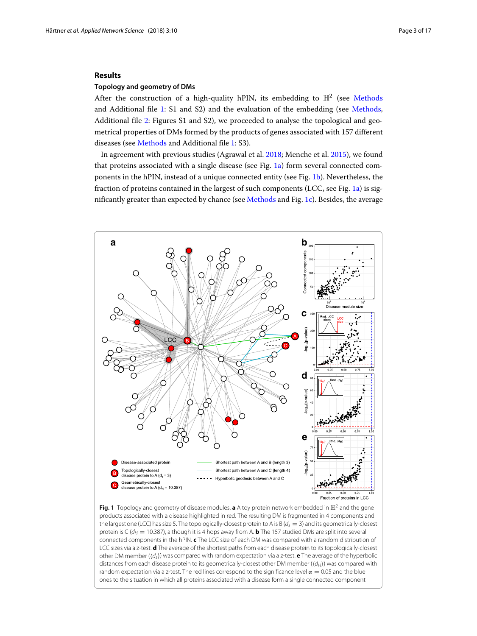#### **Results**

#### **Topology and geometry of DMs**

After the construction of a high-quality hPIN, its embedding to  $\mathbb{H}^2$  (see [Methods](#page-10-0) and Additional file [1:](#page-13-2) S1 and S2) and the evaluation of the embedding (see [Methods,](#page-10-0) Additional file [2:](#page-13-3) Figures S1 and S2), we proceeded to analyse the topological and geometrical properties of DMs formed by the products of genes associated with 157 different diseases (see [Methods](#page-10-0) and Additional file [1:](#page-13-2) S3).

In agreement with previous studies (Agrawal et al. [2018;](#page-13-1) Menche et al. [2015\)](#page-15-4), we found that proteins associated with a single disease (see Fig. [1](#page-2-0)[a\)](#page-2-1) form several connected components in the hPIN, instead of a unique connected entity (see Fig. [1](#page-2-0)[b\)](#page-2-1). Nevertheless, the fraction of proteins contained in the largest of such components (LCC, see Fig. [1](#page-2-0)[a\)](#page-2-1) is significantly greater than expected by chance (see [Methods](#page-10-0) and Fig. [1](#page-2-0)[c\)](#page-2-1). Besides, the average



<span id="page-2-1"></span><span id="page-2-0"></span>**Fig. 1** Topology and geometry of disease modules. **a** A toy protein network embedded in  $\mathbb{H}^2$  and the gene products associated with a disease highlighted in red. The resulting DM is fragmented in 4 components and the largest one (LCC) has size 5. The topologically-closest protein to A is B ( $d<sub>s</sub> = 3$ ) and its geometrically-closest protein is C ( $d_H = 10.387$ ), although it is 4 hops away from A. **b** The 157 studied DMs are split into several connected components in the hPIN. **c** The LCC size of each DM was compared with a random distribution of LCC sizes via a z-test. **d** The average of the shortest paths from each disease protein to its topologically-closest other DM member ((d<sub>s</sub>)) was compared with random expectation via a z-test. **e** The average of the hyperbolic distances from each disease protein to its geometrically-closest other DM member  $(\langle d_H \rangle)$  was compared with random expectation via a z-test. The red lines correspond to the significance level  $\alpha = 0.05$  and the blue ones to the situation in which all proteins associated with a disease form a single connected component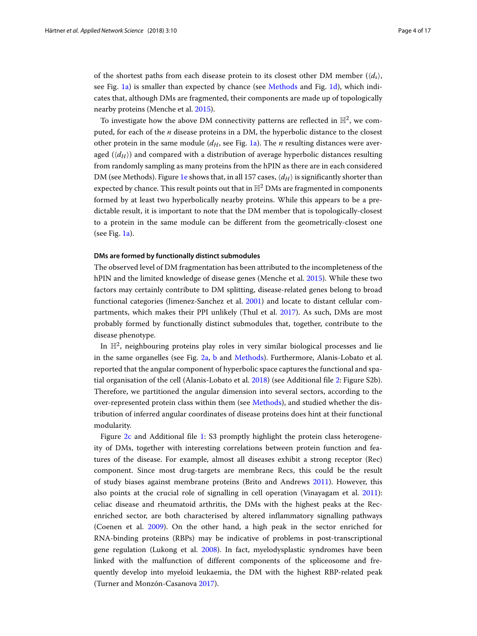of the shortest paths from each disease protein to its closest other DM member  $(\langle d_s \rangle, \langle d_s \rangle)$ see Fig. [1](#page-2-0)[a\)](#page-2-1) is smaller than expected by chance (see [Methods](#page-10-0) and Fig. [1](#page-2-0)[d\)](#page-2-1), which indicates that, although DMs are fragmented, their components are made up of topologically nearby proteins (Menche et al. [2015\)](#page-15-4).

To investigate how the above DM connectivity patterns are reflected in  $\mathbb{H}^2$ , we computed, for each of the *n* disease proteins in a DM, the hyperbolic distance to the closest other protein in the same module  $(d_H)$ , see Fig. [1](#page-2-0)[a\)](#page-2-1). The *n* resulting distances were averaged  $(\langle d_H \rangle)$  and compared with a distribution of average hyperbolic distances resulting from randomly sampling as many proteins from the hPIN as there are in each considered DM (see Methods). Figure [1](#page-2-0)[e](#page-2-1) shows that, in all 157 cases,  $\langle d_H \rangle$  is significantly shorter than expected by chance. This result points out that in  $\mathbb{H}^2$  DMs are fragmented in components formed by at least two hyperbolically nearby proteins. While this appears to be a predictable result, it is important to note that the DM member that is topologically-closest to a protein in the same module can be different from the geometrically-closest one (see Fig.  $1a$  $1a$ ).

## **DMs are formed by functionally distinct submodules**

The observed level of DM fragmentation has been attributed to the incompleteness of the hPIN and the limited knowledge of disease genes (Menche et al. [2015\)](#page-15-4). While these two factors may certainly contribute to DM splitting, disease-related genes belong to broad functional categories (Jimenez-Sanchez et al. [2001\)](#page-15-7) and locate to distant cellular compartments, which makes their PPI unlikely (Thul et al. [2017\)](#page-15-8). As such, DMs are most probably formed by functionally distinct submodules that, together, contribute to the disease phenotype.

In  $\mathbb{H}^2$ , neighbouring proteins play roles in very similar biological processes and lie in the same organelles (see Fig. [2](#page-4-0)[a,](#page-4-1) [b](#page-4-1) and [Methods\)](#page-10-0). Furthermore, Alanis-Lobato et al. reported that the angular component of hyperbolic space captures the functional and spatial organisation of the cell (Alanis-Lobato et al. [2018\)](#page-14-8) (see Additional file [2:](#page-13-3) Figure S2b). Therefore, we partitioned the angular dimension into several sectors, according to the over-represented protein class within them (see [Methods\)](#page-10-0), and studied whether the distribution of inferred angular coordinates of disease proteins does hint at their functional modularity.

Figure [2](#page-4-0)[c](#page-4-1) and Additional file [1:](#page-13-2) S3 promptly highlight the protein class heterogeneity of DMs, together with interesting correlations between protein function and features of the disease. For example, almost all diseases exhibit a strong receptor (Rec) component. Since most drug-targets are membrane Recs, this could be the result of study biases against membrane proteins (Brito and Andrews [2011\)](#page-14-14). However, this also points at the crucial role of signalling in cell operation (Vinayagam et al. [2011\)](#page-16-1): celiac disease and rheumatoid arthritis, the DMs with the highest peaks at the Recenriched sector, are both characterised by altered inflammatory signalling pathways (Coenen et al. [2009\)](#page-14-15). On the other hand, a high peak in the sector enriched for RNA-binding proteins (RBPs) may be indicative of problems in post-transcriptional gene regulation (Lukong et al. [2008\)](#page-15-9). In fact, myelodysplastic syndromes have been linked with the malfunction of different components of the spliceosome and frequently develop into myeloid leukaemia, the DM with the highest RBP-related peak (Turner and Monzón-Casanova [2017\)](#page-15-10).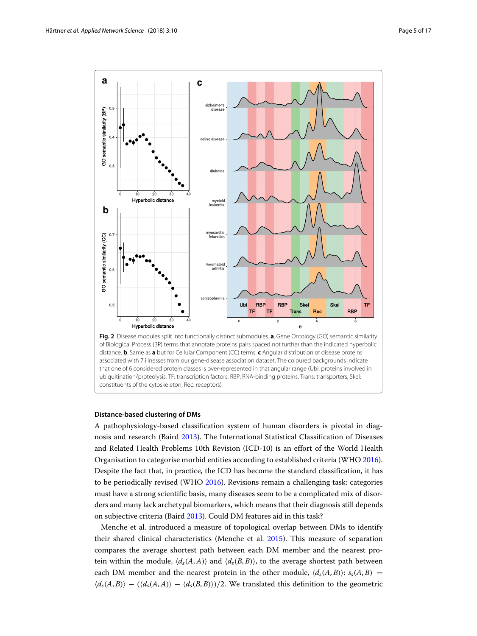

<span id="page-4-0"></span>distance. **b**. Same as **a** but for Cellular Component (CC) terms. **c** Angular distribution of disease proteins associated with 7 illnesses from our gene-disease association dataset. The coloured backgrounds indicate that one of 6 considered protein classes is over-represented in that angular range (Ubi: proteins involved in ubiquitination/proteolysis, TF: transcription factors, RBP: RNA-binding proteins, Trans: transporters, Skel: constituents of the cytoskeleton, Rec: receptors)

### <span id="page-4-1"></span>**Distance-based clustering of DMs**

A pathophysiology-based classification system of human disorders is pivotal in diagnosis and research (Baird [2013\)](#page-14-16). The International Statistical Classification of Diseases and Related Health Problems 10th Revision (ICD-10) is an effort of the World Health Organisation to categorise morbid entities according to established criteria (WHO [2016\)](#page-16-3). Despite the fact that, in practice, the ICD has become the standard classification, it has to be periodically revised (WHO [2016\)](#page-16-3). Revisions remain a challenging task: categories must have a strong scientific basis, many diseases seem to be a complicated mix of disorders and many lack archetypal biomarkers, which means that their diagnosis still depends on subjective criteria (Baird [2013\)](#page-14-16). Could DM features aid in this task?

Menche et al. introduced a measure of topological overlap between DMs to identify their shared clinical characteristics (Menche et al. [2015\)](#page-15-4). This measure of separation compares the average shortest path between each DM member and the nearest protein within the module,  $\langle d_s(A, A) \rangle$  and  $\langle d_s(B, B) \rangle$ , to the average shortest path between each DM member and the nearest protein in the other module,  $\langle d_s(A,B) \rangle$ :  $s_s(A,B)$  =  $\langle d_s(A,B) \rangle - (\langle d_s(A,A) \rangle - \langle d_s(B,B) \rangle)/2$ . We translated this definition to the geometric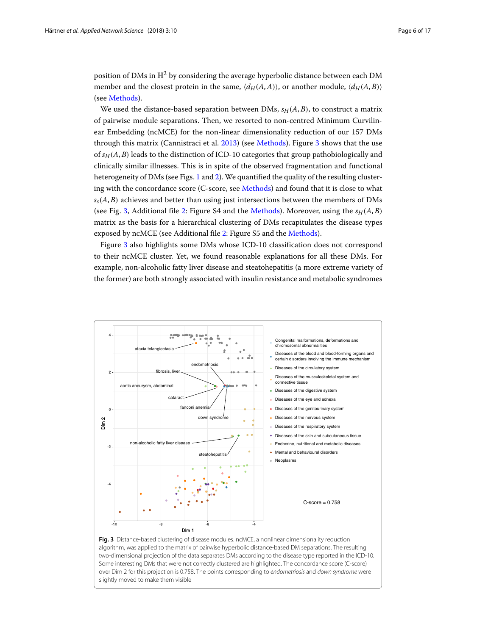position of DMs in  $\mathbb{H}^2$  by considering the average hyperbolic distance between each DM member and the closest protein in the same,  $\langle d_H(A, A) \rangle$ , or another module,  $\langle d_H(A, B) \rangle$ (see [Methods\)](#page-10-0).

We used the distance-based separation between DMs,  $s_H(A, B)$ , to construct a matrix of pairwise module separations. Then, we resorted to non-centred Minimum Curvilinear Embedding (ncMCE) for the non-linear dimensionality reduction of our 157 DMs through this matrix (Cannistraci et al. [2013\)](#page-14-17) (see [Methods\)](#page-10-0). Figure [3](#page-5-0) shows that the use of  $s_H(A, B)$  leads to the distinction of ICD-10 categories that group pathobiologically and clinically similar illnesses. This is in spite of the observed fragmentation and functional heterogeneity of DMs (see Figs. [1](#page-2-0) and [2\)](#page-4-0). We quantified the quality of the resulting clustering with the concordance score (C-score, see [Methods\)](#page-10-0) and found that it is close to what  $s<sub>s</sub>(A, B)$  achieves and better than using just intersections between the members of DMs (see Fig. [3,](#page-5-0) Additional file [2:](#page-13-3) Figure S4 and the [Methods\)](#page-10-0). Moreover, using the  $s_H(A, B)$ matrix as the basis for a hierarchical clustering of DMs recapitulates the disease types exposed by ncMCE (see Additional file [2:](#page-13-3) Figure S5 and the [Methods\)](#page-10-0).

Figure [3](#page-5-0) also highlights some DMs whose ICD-10 classification does not correspond to their ncMCE cluster. Yet, we found reasonable explanations for all these DMs. For example, non-alcoholic fatty liver disease and steatohepatitis (a more extreme variety of the former) are both strongly associated with insulin resistance and metabolic syndromes



<span id="page-5-0"></span>two-dimensional projection of the data separates DMs according to the disease type reported in the ICD-10. Some interesting DMs that were not correctly clustered are highlighted. The concordance score (C-score) over Dim 2 for this projection is 0.758. The points corresponding to endometriosis and down syndrome were slightly moved to make them visible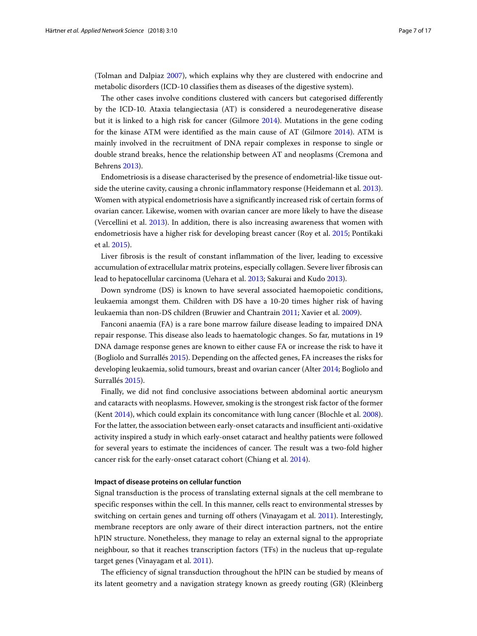(Tolman and Dalpiaz [2007\)](#page-15-11), which explains why they are clustered with endocrine and metabolic disorders (ICD-10 classifies them as diseases of the digestive system).

The other cases involve conditions clustered with cancers but categorised differently by the ICD-10. Ataxia telangiectasia (AT) is considered a neurodegenerative disease but it is linked to a high risk for cancer (Gilmore [2014\)](#page-14-18). Mutations in the gene coding for the kinase ATM were identified as the main cause of AT (Gilmore [2014\)](#page-14-18). ATM is mainly involved in the recruitment of DNA repair complexes in response to single or double strand breaks, hence the relationship between AT and neoplasms (Cremona and Behrens [2013\)](#page-14-19).

Endometriosis is a disease characterised by the presence of endometrial-like tissue outside the uterine cavity, causing a chronic inflammatory response (Heidemann et al. [2013\)](#page-14-20). Women with atypical endometriosis have a significantly increased risk of certain forms of ovarian cancer. Likewise, women with ovarian cancer are more likely to have the disease (Vercellini et al. [2013\)](#page-16-4). In addition, there is also increasing awareness that women with endometriosis have a higher risk for developing breast cancer (Roy et al. [2015;](#page-15-12) Pontikaki et al. [2015\)](#page-15-13).

Liver fibrosis is the result of constant inflammation of the liver, leading to excessive accumulation of extracellular matrix proteins, especially collagen. Severe liver fibrosis can lead to hepatocellular carcinoma (Uehara et al. [2013;](#page-15-14) Sakurai and Kudo [2013\)](#page-15-15).

Down syndrome (DS) is known to have several associated haemopoietic conditions, leukaemia amongst them. Children with DS have a 10-20 times higher risk of having leukaemia than non-DS children (Bruwier and Chantrain [2011;](#page-14-21) Xavier et al. [2009\)](#page-16-5).

Fanconi anaemia (FA) is a rare bone marrow failure disease leading to impaired DNA repair response. This disease also leads to haematologic changes. So far, mutations in 19 DNA damage response genes are known to either cause FA or increase the risk to have it (Bogliolo and Surrallés [2015\)](#page-14-22). Depending on the affected genes, FA increases the risks for developing leukaemia, solid tumours, breast and ovarian cancer (Alter [2014;](#page-14-23) Bogliolo and Surrallés [2015\)](#page-14-22).

Finally, we did not find conclusive associations between abdominal aortic aneurysm and cataracts with neoplasms. However, smoking is the strongest risk factor of the former (Kent [2014\)](#page-15-16), which could explain its concomitance with lung cancer (Blochle et al. [2008\)](#page-14-24). For the latter, the association between early-onset cataracts and insufficient anti-oxidative activity inspired a study in which early-onset cataract and healthy patients were followed for several years to estimate the incidences of cancer. The result was a two-fold higher cancer risk for the early-onset cataract cohort (Chiang et al. [2014\)](#page-14-25).

## **Impact of disease proteins on cellular function**

Signal transduction is the process of translating external signals at the cell membrane to specific responses within the cell. In this manner, cells react to environmental stresses by switching on certain genes and turning off others (Vinayagam et al. [2011\)](#page-16-1). Interestingly, membrane receptors are only aware of their direct interaction partners, not the entire hPIN structure. Nonetheless, they manage to relay an external signal to the appropriate neighbour, so that it reaches transcription factors (TFs) in the nucleus that up-regulate target genes (Vinayagam et al. [2011\)](#page-16-1).

The efficiency of signal transduction throughout the hPIN can be studied by means of its latent geometry and a navigation strategy known as greedy routing (GR) (Kleinberg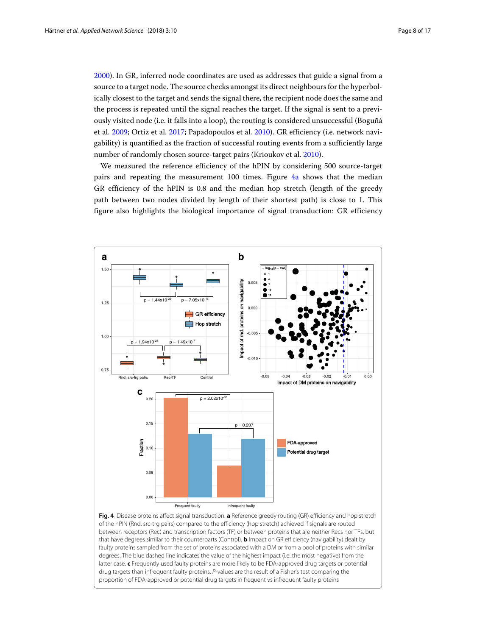[2000\)](#page-15-17). In GR, inferred node coordinates are used as addresses that guide a signal from a source to a target node. The source checks amongst its direct neighbours for the hyperbolically closest to the target and sends the signal there, the recipient node does the same and the process is repeated until the signal reaches the target. If the signal is sent to a previously visited node (i.e. it falls into a loop), the routing is considered unsuccessful (Boguñá et al. [2009;](#page-14-26) Ortiz et al. [2017;](#page-15-18) Papadopoulos et al. [2010\)](#page-15-19). GR efficiency (i.e. network navigability) is quantified as the fraction of successful routing events from a sufficiently large number of randomly chosen source-target pairs (Krioukov et al. [2010\)](#page-15-0).

We measured the reference efficiency of the hPIN by considering 500 source-target pairs and repeating the measurement 100 times. Figure [4](#page-7-0)[a](#page-7-1) shows that the median GR efficiency of the hPIN is 0.8 and the median hop stretch (length of the greedy path between two nodes divided by length of their shortest path) is close to 1. This figure also highlights the biological importance of signal transduction: GR efficiency

<span id="page-7-1"></span><span id="page-7-0"></span>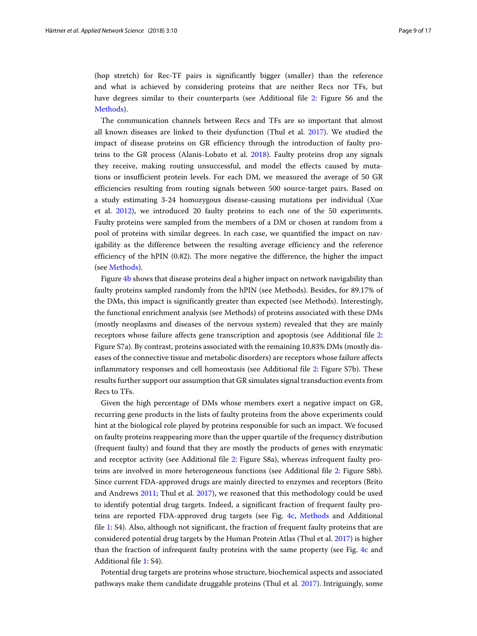(hop stretch) for Rec-TF pairs is significantly bigger (smaller) than the reference and what is achieved by considering proteins that are neither Recs nor TFs, but have degrees similar to their counterparts (see Additional file [2:](#page-13-3) Figure S6 and the [Methods\)](#page-10-0).

The communication channels between Recs and TFs are so important that almost all known diseases are linked to their dysfunction (Thul et al. [2017\)](#page-15-8). We studied the impact of disease proteins on GR efficiency through the introduction of faulty proteins to the GR process (Alanis-Lobato et al. [2018\)](#page-14-8). Faulty proteins drop any signals they receive, making routing unsuccessful, and model the effects caused by mutations or insufficient protein levels. For each DM, we measured the average of 50 GR efficiencies resulting from routing signals between 500 source-target pairs. Based on a study estimating 3-24 homozygous disease-causing mutations per individual (Xue et al. [2012\)](#page-16-6), we introduced 20 faulty proteins to each one of the 50 experiments. Faulty proteins were sampled from the members of a DM or chosen at random from a pool of proteins with similar degrees. In each case, we quantified the impact on navigability as the difference between the resulting average efficiency and the reference efficiency of the hPIN (0.82). The more negative the difference, the higher the impact (see [Methods\)](#page-10-0).

Figure [4](#page-7-0)[b](#page-7-1) shows that disease proteins deal a higher impact on network navigability than faulty proteins sampled randomly from the hPIN (see Methods). Besides, for 89.17% of the DMs, this impact is significantly greater than expected (see Methods). Interestingly, the functional enrichment analysis (see Methods) of proteins associated with these DMs (mostly neoplasms and diseases of the nervous system) revealed that they are mainly receptors whose failure affects gene transcription and apoptosis (see Additional file [2:](#page-13-3) Figure S7a). By contrast, proteins associated with the remaining 10.83% DMs (mostly diseases of the connective tissue and metabolic disorders) are receptors whose failure affects inflammatory responses and cell homeostasis (see Additional file [2:](#page-13-3) Figure S7b). These results further support our assumption that GR simulates signal transduction events from Recs to TFs.

Given the high percentage of DMs whose members exert a negative impact on GR, recurring gene products in the lists of faulty proteins from the above experiments could hint at the biological role played by proteins responsible for such an impact. We focused on faulty proteins reappearing more than the upper quartile of the frequency distribution (frequent faulty) and found that they are mostly the products of genes with enzymatic and receptor activity (see Additional file [2:](#page-13-3) Figure S8a), whereas infrequent faulty proteins are involved in more heterogeneous functions (see Additional file [2:](#page-13-3) Figure S8b). Since current FDA-approved drugs are mainly directed to enzymes and receptors (Brito and Andrews [2011;](#page-14-14) Thul et al. [2017\)](#page-15-8), we reasoned that this methodology could be used to identify potential drug targets. Indeed, a significant fraction of frequent faulty proteins are reported FDA-approved drug targets (see Fig. [4](#page-7-0)[c,](#page-7-1) [Methods](#page-10-0) and Additional file [1:](#page-13-2) S4). Also, although not significant, the fraction of frequent faulty proteins that are considered potential drug targets by the Human Protein Atlas (Thul et al. [2017\)](#page-15-8) is higher than the fraction of infrequent faulty proteins with the same property (see Fig. [4](#page-7-0)[c](#page-7-1) and Additional file [1:](#page-13-2) S4).

Potential drug targets are proteins whose structure, biochemical aspects and associated pathways make them candidate druggable proteins (Thul et al. [2017\)](#page-15-8). Intriguingly, some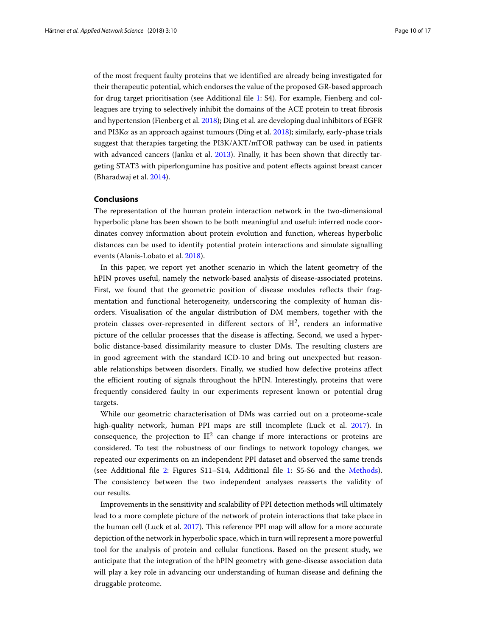of the most frequent faulty proteins that we identified are already being investigated for their therapeutic potential, which endorses the value of the proposed GR-based approach for drug target prioritisation (see Additional file [1:](#page-13-2) S4). For example, Fienberg and colleagues are trying to selectively inhibit the domains of the ACE protein to treat fibrosis and hypertension (Fienberg et al. [2018\)](#page-14-27); Ding et al. are developing dual inhibitors of EGFR and PI3K $\alpha$  as an approach against tumours (Ding et al. [2018\)](#page-14-28); similarly, early-phase trials suggest that therapies targeting the PI3K/AKT/mTOR pathway can be used in patients with advanced cancers (Janku et al. [2013\)](#page-15-20). Finally, it has been shown that directly targeting STAT3 with piperlongumine has positive and potent effects against breast cancer (Bharadwaj et al. [2014\)](#page-14-29).

#### **Conclusions**

The representation of the human protein interaction network in the two-dimensional hyperbolic plane has been shown to be both meaningful and useful: inferred node coordinates convey information about protein evolution and function, whereas hyperbolic distances can be used to identify potential protein interactions and simulate signalling events (Alanis-Lobato et al. [2018\)](#page-14-8).

In this paper, we report yet another scenario in which the latent geometry of the hPIN proves useful, namely the network-based analysis of disease-associated proteins. First, we found that the geometric position of disease modules reflects their fragmentation and functional heterogeneity, underscoring the complexity of human disorders. Visualisation of the angular distribution of DM members, together with the protein classes over-represented in different sectors of  $\mathbb{H}^2$ , renders an informative picture of the cellular processes that the disease is affecting. Second, we used a hyperbolic distance-based dissimilarity measure to cluster DMs. The resulting clusters are in good agreement with the standard ICD-10 and bring out unexpected but reasonable relationships between disorders. Finally, we studied how defective proteins affect the efficient routing of signals throughout the hPIN. Interestingly, proteins that were frequently considered faulty in our experiments represent known or potential drug targets.

While our geometric characterisation of DMs was carried out on a proteome-scale high-quality network, human PPI maps are still incomplete (Luck et al. [2017\)](#page-15-21). In consequence, the projection to  $\mathbb{H}^2$  can change if more interactions or proteins are considered. To test the robustness of our findings to network topology changes, we repeated our experiments on an independent PPI dataset and observed the same trends (see Additional file [2:](#page-13-3) Figures S11–S14, Additional file [1:](#page-13-2) S5-S6 and the [Methods\)](#page-10-0). The consistency between the two independent analyses reasserts the validity of our results.

Improvements in the sensitivity and scalability of PPI detection methods will ultimately lead to a more complete picture of the network of protein interactions that take place in the human cell (Luck et al. [2017\)](#page-15-21). This reference PPI map will allow for a more accurate depiction of the network in hyperbolic space, which in turn will represent a more powerful tool for the analysis of protein and cellular functions. Based on the present study, we anticipate that the integration of the hPIN geometry with gene-disease association data will play a key role in advancing our understanding of human disease and defining the druggable proteome.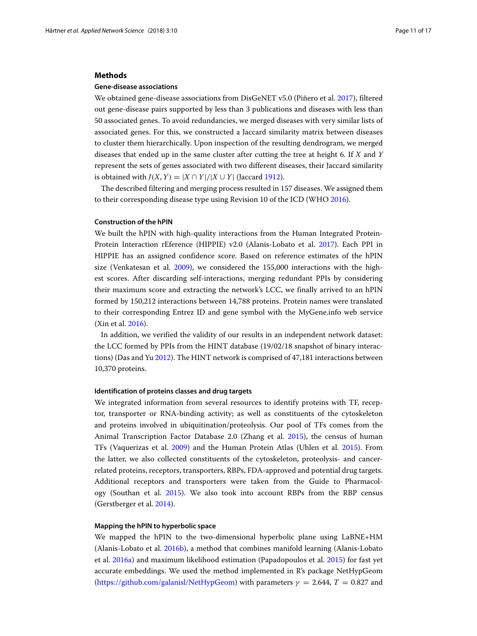#### <span id="page-10-0"></span>**Methods**

#### **Gene-disease associations**

We obtained gene-disease associations from DisGeNET v5.0 (Piñero et al. [2017\)](#page-15-22), filtered out gene-disease pairs supported by less than 3 publications and diseases with less than 50 associated genes. To avoid redundancies, we merged diseases with very similar lists of associated genes. For this, we constructed a Jaccard similarity matrix between diseases to cluster them hierarchically. Upon inspection of the resulting dendrogram, we merged diseases that ended up in the same cluster after cutting the tree at height 6. If *X* and *Y* represent the sets of genes associated with two different diseases, their Jaccard similarity is obtained with  $J(X, Y) = |X \cap Y|/|X \cup Y|$  (Jaccard [1912\)](#page-15-23).

The described filtering and merging process resulted in 157 diseases. We assigned them to their corresponding disease type using Revision 10 of the ICD (WHO [2016\)](#page-16-3).

#### **Construction of the hPIN**

We built the hPIN with high-quality interactions from the Human Integrated Protein-Protein Interaction rEference (HIPPIE) v2.0 (Alanis-Lobato et al. [2017\)](#page-14-30). Each PPI in HIPPIE has an assigned confidence score. Based on reference estimates of the hPIN size (Venkatesan et al. [2009\)](#page-15-24), we considered the 155,000 interactions with the highest scores. After discarding self-interactions, merging redundant PPIs by considering their maximum score and extracting the network's LCC, we finally arrived to an hPIN formed by 150,212 interactions between 14,788 proteins. Protein names were translated to their corresponding Entrez ID and gene symbol with the MyGene.info web service (Xin et al. [2016\)](#page-16-7).

In addition, we verified the validity of our results in an independent network dataset: the LCC formed by PPIs from the HINT database (19/02/18 snapshot of binary interactions) (Das and Yu [2012\)](#page-14-31). The HINT network is comprised of 47,181 interactions between 10,370 proteins.

## **Identification of proteins classes and drug targets**

We integrated information from several resources to identify proteins with TF, receptor, transporter or RNA-binding activity; as well as constituents of the cytoskeleton and proteins involved in ubiquitination/proteolysis. Our pool of TFs comes from the Animal Transcription Factor Database 2.0 (Zhang et al. [2015\)](#page-16-8), the census of human TFs (Vaquerizas et al. [2009\)](#page-15-25) and the Human Protein Atlas (Uhlen et al. [2015\)](#page-15-26). From the latter, we also collected constituents of the cytoskeleton, proteolysis- and cancerrelated proteins, receptors, transporters, RBPs, FDA-approved and potential drug targets. Additional receptors and transporters were taken from the Guide to Pharmacology (Southan et al. [2015\)](#page-15-27). We also took into account RBPs from the RBP census (Gerstberger et al. [2014\)](#page-14-32).

## **Mapping the hPIN to hyperbolic space**

We mapped the hPIN to the two-dimensional hyperbolic plane using LaBNE+HM (Alanis-Lobato et al. [2016b\)](#page-14-33), a method that combines manifold learning (Alanis-Lobato et al. [2016a\)](#page-13-4) and maximum likelihood estimation (Papadopoulos et al. [2015\)](#page-15-28) for fast yet accurate embeddings. We used the method implemented in R's package NetHypGeom [\(https://github.com/galanisl/NetHypGeom\)](https://github.com/galanisl/NetHypGeom) with parameters  $\gamma = 2.644$ ,  $T = 0.827$  and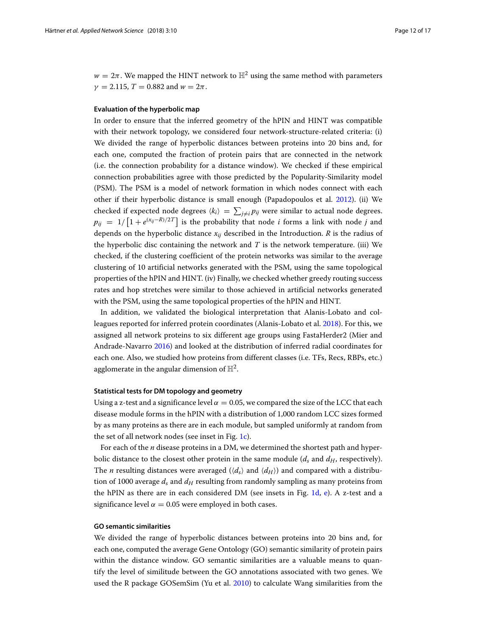$w = 2\pi$ . We mapped the HINT network to  $\mathbb{H}^2$  using the same method with parameters  $\gamma = 2.115$ ,  $T = 0.882$  and  $w = 2\pi$ .

#### **Evaluation of the hyperbolic map**

In order to ensure that the inferred geometry of the hPIN and HINT was compatible with their network topology, we considered four network-structure-related criteria: (i) We divided the range of hyperbolic distances between proteins into 20 bins and, for each one, computed the fraction of protein pairs that are connected in the network (i.e. the connection probability for a distance window). We checked if these empirical connection probabilities agree with those predicted by the Popularity-Similarity model (PSM). The PSM is a model of network formation in which nodes connect with each other if their hyperbolic distance is small enough (Papadopoulos et al. [2012\)](#page-15-1). (ii) We checked if expected node degrees  $\langle k_i \rangle = \sum_{j \neq i} p_{ij}$  were similar to actual node degrees.  $p_{ij}$  = 1/ $\left[1 + e^{(x_{ij} - R)/2T}\right]$  is the probability that node *i* forms a link with node *j* and depends on the hyperbolic distance  $x_{ij}$  described in the Introduction.  $R$  is the radius of the hyperbolic disc containing the network and  $T$  is the network temperature. (iii) We checked, if the clustering coefficient of the protein networks was similar to the average clustering of 10 artificial networks generated with the PSM, using the same topological properties of the hPIN and HINT. (iv) Finally, we checked whether greedy routing success rates and hop stretches were similar to those achieved in artificial networks generated with the PSM, using the same topological properties of the hPIN and HINT.

In addition, we validated the biological interpretation that Alanis-Lobato and colleagues reported for inferred protein coordinates (Alanis-Lobato et al. [2018\)](#page-14-8). For this, we assigned all network proteins to six different age groups using FastaHerder2 (Mier and Andrade-Navarro [2016\)](#page-15-29) and looked at the distribution of inferred radial coordinates for each one. Also, we studied how proteins from different classes (i.e. TFs, Recs, RBPs, etc.) agglomerate in the angular dimension of  $\mathbb{H}^2$ .

## **Statistical tests for DM topology and geometry**

Using a z-test and a significance level  $\alpha = 0.05$ , we compared the size of the LCC that each disease module forms in the hPIN with a distribution of 1,000 random LCC sizes formed by as many proteins as there are in each module, but sampled uniformly at random from the set of all network nodes (see inset in Fig. [1](#page-2-0)[c\)](#page-2-1).

For each of the *n* disease proteins in a DM, we determined the shortest path and hyperbolic distance to the closest other protein in the same module  $(d_s$  and  $d_H$ , respectively). The *n* resulting distances were averaged ( $\langle d_s \rangle$  and  $\langle d_H \rangle$ ) and compared with a distribution of 1000 average  $d_s$  and  $d_H$  resulting from randomly sampling as many proteins from the hPIN as there are in each considered DM (see insets in Fig. [1](#page-2-0)[d,](#page-2-1) [e\)](#page-2-1). A z-test and a significance level  $\alpha = 0.05$  were employed in both cases.

#### **GO semantic similarities**

We divided the range of hyperbolic distances between proteins into 20 bins and, for each one, computed the average Gene Ontology (GO) semantic similarity of protein pairs within the distance window. GO semantic similarities are a valuable means to quantify the level of similitude between the GO annotations associated with two genes. We used the R package GOSemSim (Yu et al. [2010\)](#page-16-9) to calculate Wang similarities from the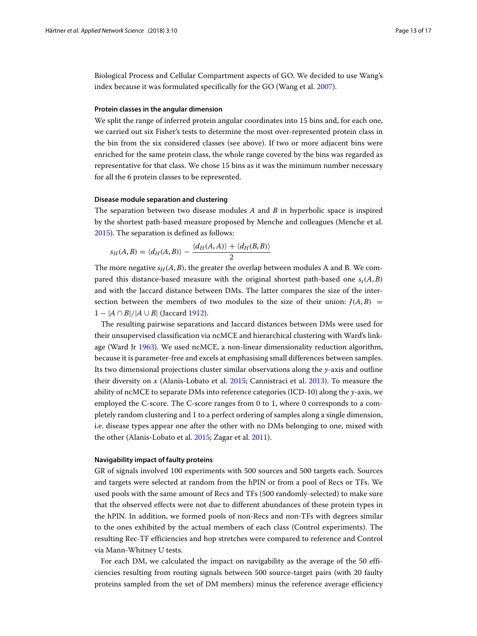Biological Process and Cellular Compartment aspects of GO. We decided to use Wang's index because it was formulated specifically for the GO (Wang et al. [2007\)](#page-16-10).

## **Protein classes in the angular dimension**

We split the range of inferred protein angular coordinates into 15 bins and, for each one, we carried out six Fisher's tests to determine the most over-represented protein class in the bin from the six considered classes (see above). If two or more adjacent bins were enriched for the same protein class, the whole range covered by the bins was regarded as representative for that class. We chose 15 bins as it was the minimum number necessary for all the 6 protein classes to be represented.

## **Disease module separation and clustering**

The separation between two disease modules *A* and *B* in hyperbolic space is inspired by the shortest path-based measure proposed by Menche and colleagues (Menche et al. [2015\)](#page-15-4). The separation is defined as follows:

$$
s_H(A, B) = \langle d_H(A, B) \rangle - \frac{\langle d_H(A, A) \rangle + \langle d_H(B, B) \rangle}{2}
$$

The more negative  $s_H(A, B)$ , the greater the overlap between modules A and B. We compared this distance-based measure with the original shortest path-based one  $s_s(A, B)$ and with the Jaccard distance between DMs. The latter compares the size of the intersection between the members of two modules to the size of their union:  $J(A, B)$  = 1 − |*A* ∩ *B*|/|*A* ∪ *B*| (Jaccard [1912\)](#page-15-23).

The resulting pairwise separations and Jaccard distances between DMs were used for their unsupervised classification via ncMCE and hierarchical clustering with Ward's linkage (Ward Jr [1963\)](#page-16-11). We used ncMCE, a non-linear dimensionality reduction algorithm, because it is parameter-free and excels at emphasising small differences between samples. Its two dimensional projections cluster similar observations along the *y*-axis and outline their diversity on *x* (Alanis-Lobato et al. [2015;](#page-13-5) Cannistraci et al. [2013\)](#page-14-17). To measure the ability of ncMCE to separate DMs into reference categories (ICD-10) along the *y*-axis, we employed the C-score. The C-score ranges from 0 to 1, where 0 corresponds to a completely random clustering and 1 to a perfect ordering of samples along a single dimension, i.e. disease types appear one after the other with no DMs belonging to one, mixed with the other (Alanis-Lobato et al. [2015;](#page-13-5) Zagar et al. [2011\)](#page-16-12).

### **Navigability impact of faulty proteins**

GR of signals involved 100 experiments with 500 sources and 500 targets each. Sources and targets were selected at random from the hPIN or from a pool of Recs or TFs. We used pools with the same amount of Recs and TFs (500 randomly-selected) to make sure that the observed effects were not due to different abundances of these protein types in the hPIN. In addition, we formed pools of non-Recs and non-TFs with degrees similar to the ones exhibited by the actual members of each class (Control experiments). The resulting Rec-TF efficiencies and hop stretches were compared to reference and Control via Mann-Whitney U tests.

For each DM, we calculated the impact on navigability as the average of the 50 efficiencies resulting from routing signals between 500 source-target pairs (with 20 faulty proteins sampled from the set of DM members) minus the reference average efficiency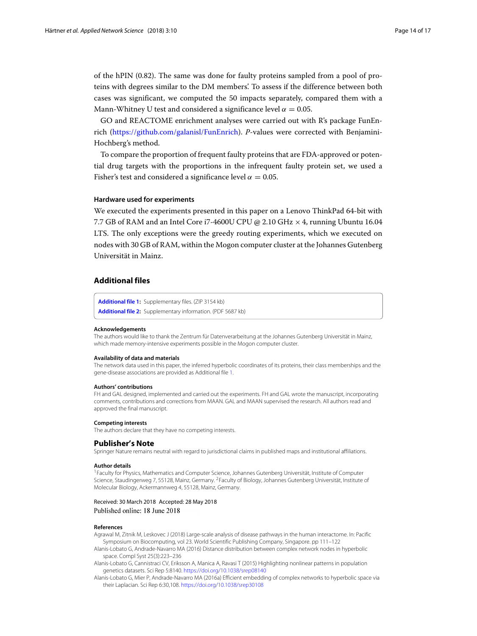of the hPIN (0.82). The same was done for faulty proteins sampled from a pool of proteins with degrees similar to the DM members'. To assess if the difference between both cases was significant, we computed the 50 impacts separately, compared them with a Mann-Whitney U test and considered a significance level  $\alpha = 0.05$ .

GO and REACTOME enrichment analyses were carried out with R's package FunEnrich [\(https://github.com/galanisl/FunEnrich\)](https://github.com/galanisl/FunEnrich). *P*-values were corrected with Benjamini-Hochberg's method.

To compare the proportion of frequent faulty proteins that are FDA-approved or potential drug targets with the proportions in the infrequent faulty protein set, we used a Fisher's test and considered a significance level  $\alpha = 0.05$ .

#### **Hardware used for experiments**

We executed the experiments presented in this paper on a Lenovo ThinkPad 64-bit with 7.7 GB of RAM and an Intel Core i7-4600U CPU @ 2.10 GHz  $\times$  4, running Ubuntu 16.04 LTS. The only exceptions were the greedy routing experiments, which we executed on nodes with 30 GB of RAM, within the Mogon computer cluster at the Johannes Gutenberg Universität in Mainz.

## **Additional files**

<span id="page-13-3"></span><span id="page-13-2"></span>**[Additional file 1:](https://doi.org/10.1007/s41109-018-0066-3)** Supplementary files. (ZIP 3154 kb) **[Additional file 2:](https://doi.org/10.1007/s41109-018-0066-3)** Supplementary information. (PDF 5687 kb)

#### **Acknowledgements**

The authors would like to thank the Zentrum für Datenverarbeitung at the Johannes Gutenberg Universität in Mainz, which made memory-intensive experiments possible in the Mogon computer cluster.

#### **Availability of data and materials**

The network data used in this paper, the inferred hyperbolic coordinates of its proteins, their class memberships and the gene-disease associations are provided as Additional file [1.](#page-13-2)

#### **Authors' contributions**

FH and GAL designed, implemented and carried out the experiments. FH and GAL wrote the manuscript, incorporating comments, contributions and corrections from MAAN. GAL and MAAN supervised the research. All authors read and approved the final manuscript.

#### **Competing interests**

The authors declare that they have no competing interests.

#### **Publisher's Note**

Springer Nature remains neutral with regard to jurisdictional claims in published maps and institutional affiliations.

#### **Author details**

1Faculty for Physics, Mathematics and Computer Science, Johannes Gutenberg Universität, Institute of Computer Science, Staudingerweg 7, 55128, Mainz, Germany. 2Faculty of Biology, Johannes Gutenberg Universität, Institute of Molecular Biology, Ackermannweg 4, 55128, Mainz, Germany.

# Received: 30 March 2018 Accepted: 28 May 2018

Published online: 18 June 2018

#### **References**

<span id="page-13-1"></span>Agrawal M, Zitnik M, Leskovec J (2018) Large-scale analysis of disease pathways in the human interactome. In: Pacific Symposium on Biocomputing, vol 23. World Scientific Publishing Company, Singapore. pp 111–122

- <span id="page-13-0"></span>Alanis-Lobato G, Andrade-Navarro MA (2016) Distance distribution between complex network nodes in hyperbolic space. Compl Syst 25(3):223–236
- <span id="page-13-5"></span>Alanis-Lobato G, Cannistraci CV, Eriksson A, Manica A, Ravasi T (2015) Highlighting nonlinear patterns in population genetics datasets. Sci Rep 5:8140. <https://doi.org/10.1038/srep08140>
- <span id="page-13-4"></span>Alanis-Lobato G, Mier P, Andrade-Navarro MA (2016a) Efficient embedding of complex networks to hyperbolic space via their Laplacian. Sci Rep 6:30,108. <https://doi.org/10.1038/srep30108>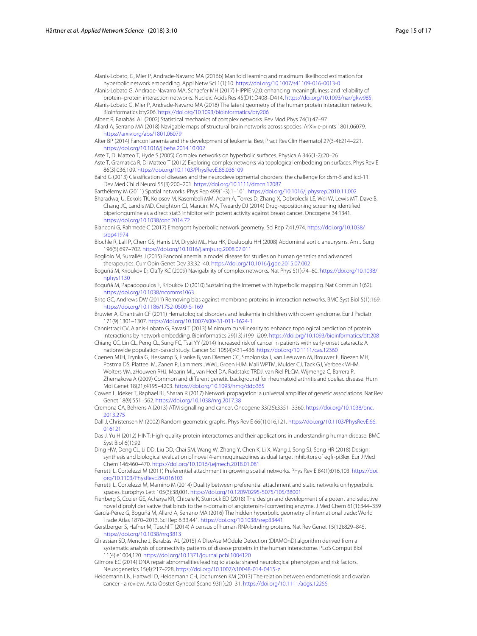<span id="page-14-33"></span>Alanis-Lobato, G, Mier P, Andrade-Navarro MA (2016b) Manifold learning and maximum likelihood estimation for hyperbolic network embedding. Appl Netw Sci 1(1):10. <https://doi.org/10.1007/s41109-016-0013-0>

- <span id="page-14-30"></span>Alanis-Lobato G, Andrade-Navarro MA, Schaefer MH (2017) HIPPIE v2.0: enhancing meaningfulness and reliability of protein–protein interaction networks. Nucleic Acids Res 45(D1):D408–D414. <https://doi.org/10.1093/nar/gkw985> Alanis-Lobato G, Mier P, Andrade-Navarro MA (2018) The latent geometry of the human protein interaction network.
- <span id="page-14-8"></span>Bioinformatics bty206. <https://doi.org/10.1093/bioinformatics/bty206>
- <span id="page-14-0"></span>Albert R, Barabási AL (2002) Statistical mechanics of complex networks. Rev Mod Phys 74(1):47–97
- <span id="page-14-9"></span>Allard A, Serrano MA (2018) Navigable maps of structural brain networks across species. ArXiv e-prints 1801.06079. <https://arxiv.org/abs/1801.06079>
- <span id="page-14-23"></span>Alter BP (2014) Fanconi anemia and the development of leukemia. Best Pract Res Clin Haematol 27(3-4):214–221. <https://doi.org/10.1016/j.beha.2014.10.002>
- <span id="page-14-1"></span>Aste T, Di Matteo T, Hyde S (2005) Complex networks on hyperbolic surfaces. Physica A 346(1-2):20–26
- <span id="page-14-2"></span>Aste T, Gramatica R, Di Matteo T (2012) Exploring complex networks via topological embedding on surfaces. Phys Rev E 86(3):036,109. <https://doi.org/10.1103/PhysRevE.86.036109>
- <span id="page-14-16"></span>Baird G (2013) Classification of diseases and the neurodevelopmental disorders: the challenge for dsm-5 and icd-11. Dev Med Child Neurol 55(3):200–201. <https://doi.org/10.1111/dmcn.12087>

<span id="page-14-3"></span>Barthélemy M (2011) Spatial networks. Phys Rep 499(1-3):1–101. <https://doi.org/10.1016/j.physrep.2010.11.002> Bharadwaj U, Eckols TK, Kolosov M, Kasembeli MM, Adam A, Torres D, Zhang X, Dobrolecki LE, Wei W, Lewis MT, Dave B,

<span id="page-14-29"></span>Chang JC, Landis MD, Creighton CJ, Mancini MA, Tweardy DJ (2014) Drug-repositioning screening identified piperlongumine as a direct stat3 inhibitor with potent activity against breast cancer. Oncogene 34:1341. <https://doi.org/10.1038/onc.2014.72>

<span id="page-14-6"></span>Bianconi G, Rahmede C (2017) Emergent hyperbolic network geometry. Sci Rep 7:41,974. [https://doi.org/10.1038/](https://doi.org/10.1038/srep41974) [srep41974](https://doi.org/10.1038/srep41974)

- <span id="page-14-24"></span>Blochle R, Lall P, Cherr GS, Harris LM, Dryjski ML, Hsu HK, Dosluoglu HH (2008) Abdominal aortic aneurysms. Am J Surg 196(5):697–702. <https://doi.org/10.1016/j.amjsurg.2008.07.011>
- <span id="page-14-22"></span>Bogliolo M, Surrallés J (2015) Fanconi anemia: a model disease for studies on human genetics and advanced therapeutics. Curr Opin Genet Dev 33:32–40. <https://doi.org/10.1016/j.gde.2015.07.002>
- <span id="page-14-26"></span>Boguñá M, Krioukov D, Claffy KC (2009) Navigability of complex networks. Nat Phys 5(1):74–80. [https://doi.org/10.1038/](https://doi.org/10.1038/nphys1130) [nphys1130](https://doi.org/10.1038/nphys1130)
- <span id="page-14-10"></span>Boguñá M, Papadopoulos F, Krioukov D (2010) Sustaining the Internet with hyperbolic mapping. Nat Commun 1(62). <https://doi.org/10.1038/ncomms1063>
- <span id="page-14-14"></span>Brito GC, Andrews DW (2011) Removing bias against membrane proteins in interaction networks. BMC Syst Biol 5(1):169. <https://doi.org/10.1186/1752-0509-5-169>
- <span id="page-14-21"></span>Bruwier A, Chantrain CF (2011) Hematological disorders and leukemia in children with down syndrome. Eur J Pediatr 171(9):1301–1307. <https://doi.org/10.1007/s00431-011-1624-1>

<span id="page-14-17"></span>Cannistraci CV, Alanis-Lobato G, Ravasi T (2013) Minimum curvilinearity to enhance topological prediction of protein interactions by network embedding. Bioinformatics 29(13):i199–i209. <https://doi.org/10.1093/bioinformatics/btt208>

<span id="page-14-25"></span>Chiang CC, Lin CL, Peng CL, Sung FC, Tsai YY (2014) Increased risk of cancer in patients with early-onset cataracts: A nationwide population-based study. Cancer Sci 105(4):431–436. <https://doi.org/10.1111/cas.12360>

<span id="page-14-15"></span>Coenen MJH, Trynka G, Heskamp S, Franke B, van Diemen CC, Smolonska J, van Leeuwen M, Brouwer E, Boezen MH, Postma DS, Platteel M, Zanen P, Lammers JWWJ, Groen HJM, Mali WPTM, Mulder CJ, Tack GJ, Verbeek WHM, Wolters VM, zHouwen RHJ, Mearin ML, van Heel DA, Radstake TRDJ, van Riel PLCM, Wijmenga C, Barrera P, Zhernakova A (2009) Common and different genetic background for rheumatoid arthritis and coeliac disease. Hum

<span id="page-14-12"></span>Mol Genet 18(21):4195–4203. <https://doi.org/10.1093/hmg/ddp365> Cowen L, Ideker T, Raphael BJ, Sharan R (2017) Network propagation: a universal amplifier of genetic associations. Nat Rev Genet 18(9):551–562. <https://doi.org/10.1038/nrg.2017.38>

<span id="page-14-19"></span>Cremona CA, Behrens A (2013) ATM signalling and cancer. Oncogene 33(26):3351–3360. [https://doi.org/10.1038/onc.](https://doi.org/10.1038/onc.2013.275) [2013.275](https://doi.org/10.1038/onc.2013.275)

<span id="page-14-4"></span>Dall J, Christensen M (2002) Random geometric graphs. Phys Rev E 66(1):016,121. [https://doi.org/10.1103/PhysRevE.66.](https://doi.org/10.1103/PhysRevE.66.016121) [016121](https://doi.org/10.1103/PhysRevE.66.016121)

<span id="page-14-31"></span>Das J, Yu H (2012) HINT: High-quality protein interactomes and their applications in understanding human disease. BMC Syst Biol 6(1):92

- <span id="page-14-28"></span>Ding HW, Deng CL, Li DD, Liu DD, Chai SM, Wang W, Zhang Y, Chen K, Li X, Wang J, Song SJ, Song HR (2018) Design, synthesis and biological evaluation of novel 4-aminoquinazolines as dual target inhibitors of egfr-pi3kα. Eur J Med Chem 146:460–470. <https://doi.org/10.1016/j.ejmech.2018.01.081>
- <span id="page-14-5"></span>Ferretti L, Cortelezzi M (2011) Preferential attachment in growing spatial networks. Phys Rev E 84(1):016,103. [https://doi.](https://doi.org/10.1103/PhysRevE.84.016103) [org/10.1103/PhysRevE.84.016103](https://doi.org/10.1103/PhysRevE.84.016103)

<span id="page-14-7"></span>Ferretti L, Cortelezzi M, Mamino M (2014) Duality between preferential attachment and static networks on hyperbolic spaces. Europhys Lett 105(3):38,001. <https://doi.org/10.1209/0295-5075/105/38001>

<span id="page-14-27"></span>Fienberg S, Cozier GE, Acharya KR, Chibale K, Sturrock ED (2018) The design and development of a potent and selective novel diprolyl derivative that binds to the n-domain of angiotensin-i converting enzyme. J Med Chem 61(1):344–359 García-Pérez G, Boguñá M, Allard A, Serrano MA (2016) The hidden hyperbolic geometry of international trade: World

<span id="page-14-32"></span><span id="page-14-11"></span>Trade Atlas 1870–2013. Sci Rep 6:33,441. <https://doi.org/10.1038/srep33441> Gerstberger S, Hafner M, Tuschl T (2014) A census of human RNA-binding proteins. Nat Rev Genet 15(12):829–845. <https://doi.org/10.1038/nrg3813>

<span id="page-14-13"></span>Ghiassian SD, Menche J, Barabási AL (2015) A DIseAse MOdule Detection (DIAMOnD) algorithm derived from a systematic analysis of connectivity patterns of disease proteins in the human interactome. PLoS Comput Biol 11(4):e1004,120. <https://doi.org/10.1371/journal.pcbi.1004120>

<span id="page-14-18"></span>Gilmore EC (2014) DNA repair abnormalities leading to ataxia: shared neurological phenotypes and risk factors. Neurogenetics 15(4):217–228. <https://doi.org/10.1007/s10048-014-0415-z>

<span id="page-14-20"></span>Heidemann LN, Hartwell D, Heidemann CH, Jochumsen KM (2013) The relation between endometriosis and ovarian cancer - a review. Acta Obstet Gynecol Scand 93(1):20–31. <https://doi.org/10.1111/aogs.12255>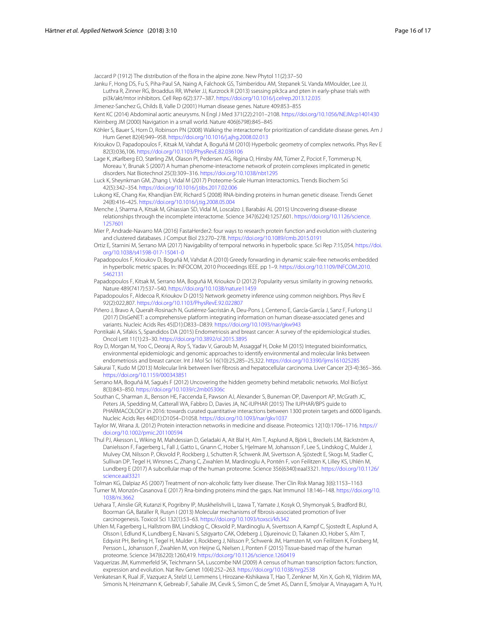<span id="page-15-23"></span>Jaccard P (1912) The distribution of the flora in the alpine zone. New Phytol 11(2):37–50

<span id="page-15-20"></span>Janku F, Hong DS, Fu S, Piha-Paul SA, Naing A, Falchook GS, Tsimberidou AM, Stepanek SL Vanda MMoulder, Lee JJ, Luthra R, Zinner RG, Broaddus RR, Wheler JJ, Kurzrock R (2013) ssessing pik3ca and pten in early-phase trials with pi3k/akt/mtor inhibitors. Cell Rep 6(2):377–387. <https://doi.org/10.1016/j.celrep.2013.12.035>

<span id="page-15-7"></span>Jimenez-Sanchez G, Childs B, Valle D (2001) Human disease genes. Nature 409:853–855

<span id="page-15-16"></span>Kent KC (2014) Abdominal aortic aneurysms. N Engl J Med 371(22):2101–2108. <https://doi.org/10.1056/NEJMcp1401430> Kleinberg JM (2000) Navigation in a small world. Nature 406(6798):845–845

- <span id="page-15-17"></span><span id="page-15-5"></span>Köhler S, Bauer S, Horn D, Robinson PN (2008) Walking the interactome for prioritization of candidate disease genes. Am J Hum Genet 82(4):949–958. <https://doi.org/10.1016/j.ajhg.2008.02.013>
- <span id="page-15-0"></span>Krioukov D, Papadopoulos F, Kitsak M, Vahdat A, Boguñá M (2010) Hyperbolic geometry of complex networks. Phys Rev E 82(3):036,106. <https://doi.org/10.1103/PhysRevE.82.036106>
- <span id="page-15-6"></span>Lage K, zKarlberg EO, Størling ZM, Ólason PI, Pedersen AG, Rigina O, Hinsby AM, Tümer Z, Pociot F, Tommerup N, Moreau Y, Brunak S (2007) A human phenome-interactome network of protein complexes implicated in genetic disorders. Nat Biotechnol 25(3):309–316. <https://doi.org/10.1038/nbt1295>

<span id="page-15-21"></span>Luck K, Sheynkman GM, Zhang I, Vidal M (2017) Proteome-Scale Human Interactomics. Trends Biochem Sci 42(5):342–354. <https://doi.org/10.1016/j.tibs.2017.02.006>

<span id="page-15-9"></span>Lukong KE, Chang Kw, Khandjian EW, Richard S (2008) RNA-binding proteins in human genetic disease. Trends Genet 24(8):416–425. <https://doi.org/10.1016/j.tig.2008.05.004>

<span id="page-15-4"></span>Menche J, Sharma A, Kitsak M, Ghiassian SD, Vidal M, Loscalzo J, Barabási AL (2015) Uncovering disease-disease relationships through the incomplete interactome. Science 347(6224):1257,601. [https://doi.org/10.1126/science.](https://doi.org/10.1126/science.1257601) [1257601](https://doi.org/10.1126/science.1257601)

<span id="page-15-29"></span>Mier P, Andrade-Navarro MA (2016) FastaHerder2: four ways to research protein function and evolution with clustering and clustered databases. J Comput Biol 23:270–278. <https://doi.org/10.1089/cmb.2015.0191>

- <span id="page-15-18"></span>Ortiz E, Starnini M, Serrano MA (2017) Navigability of temporal networks in hyperbolic space. Sci Rep 7:15,054. [https://doi.](https://doi.org/10.1038/s41598-017-15041-0) [org/10.1038/s41598-017-15041-0](https://doi.org/10.1038/s41598-017-15041-0)
- <span id="page-15-19"></span>Papadopoulos F, Krioukov D, Boguñá M, Vahdat A (2010) Greedy forwarding in dynamic scale-free networks embedded in hyperbolic metric spaces. In: INFOCOM, 2010 Proceedings IEEE. pp 1–9. [https://doi.org/10.1109/INFCOM.2010.](https://doi.org/10.1109/INFCOM.2010.5462131) [5462131](https://doi.org/10.1109/INFCOM.2010.5462131)
- <span id="page-15-1"></span>Papadopoulos F, Kitsak M, Serrano MA, Boguñá M, Krioukov D (2012) Popularity versus similarity in growing networks. Nature 489(7417):537–540. <https://doi.org/10.1038/nature11459>
- <span id="page-15-28"></span>Papadopoulos F, Aldecoa R, Krioukov D (2015) Network geometry inference using common neighbors. Phys Rev E 92(2):022,807. <https://doi.org/10.1103/PhysRevE.92.022807>
- <span id="page-15-22"></span>Piñero J, Bravo A, Queralt-Rosinach N, Gutiérrez-Sacristán A, Deu-Pons J, Centeno E, García-García J, Sanz F, Furlong LI (2017) DisGeNET: a comprehensive platform integrating information on human disease-associated genes and variants. Nucleic Acids Res 45(D1):D833–D839. <https://doi.org/10.1093/nar/gkw943>
- <span id="page-15-13"></span>Pontikaki A, Sifakis S, Spandidos DA (2015) Endometriosis and breast cancer: A survey of the epidemiological studies. Oncol Lett 11(1):23–30. <https://doi.org/10.3892/ol.2015.3895>
- <span id="page-15-12"></span>Roy D, Morgan M, Yoo C, Deoraj A, Roy S, Yadav V, Garoub M, Assaggaf H, Doke M (2015) Integrated bioinformatics, environmental epidemiologic and genomic approaches to identify environmental and molecular links between endometriosis and breast cancer. Int J Mol Sci 16(10):25,285–25,322. <https://doi.org/10.3390/ijms161025285>

<span id="page-15-15"></span>Sakurai T, Kudo M (2013) Molecular link between liver fibrosis and hepatocellular carcinoma. Liver Cancer 2(3-4):365–366. <https://doi.org/10.1159/000343851>

- <span id="page-15-2"></span>Serrano MA, Boguñá M, Sagués F (2012) Uncovering the hidden geometry behind metabolic networks. Mol BioSyst 8(3):843–850. <https://doi.org/10.1039/c2mb05306c>
- <span id="page-15-27"></span>Southan C, Sharman JL, Benson HE, Faccenda E, Pawson AJ, Alexander S, Buneman OP, Davenport AP, McGrath JC, Peters JA, Spedding M, Catterall WA, Fabbro D, Davies JA, NC-IUPHAR (2015) The IUPHAR/BPS guide to PHARMACOLOGY in 2016: towards curated quantitative interactions between 1300 protein targets and 6000 ligands. Nucleic Acids Res 44(D1):D1054–D1058. <https://doi.org/10.1093/nar/gkv1037>

<span id="page-15-3"></span>Taylor IW, Wrana JL (2012) Protein interaction networks in medicine and disease. Proteomics 12(10):1706–1716. [https://](https://doi.org/10.1002/pmic.201100594) [doi.org/10.1002/pmic.201100594](https://doi.org/10.1002/pmic.201100594)

<span id="page-15-8"></span>Thul PJ, Akesson L, Wiking M, Mahdessian D, Geladaki A, Ait Blal H, Alm T, Asplund A, Björk L, Breckels LM, Bäckström A, Danielsson F, Fagerberg L, Fall J, Gatto L, Gnann C, Hober S, Hjelmare M, Johansson F, Lee S, Lindskog C, Mulder J, Mulvey CM, Nilsson P, Oksvold P, Rockberg J, Schutten R, Schwenk JM, Sivertsson A, Sjöstedt E, Skogs M, Stadler C, Sullivan DP, Tegel H, Winsnes C, Zhang C, Zwahlen M, Mardinoglu A, Pontén F, von Feilitzen K, Lilley KS, Uhlén M, Lundberg E (2017) A subcellular map of the human proteome. Science 356(6340):eaal3321. [https://doi.org/10.1126/](https://doi.org/10.1126/science.aal3321) [science.aal3321](https://doi.org/10.1126/science.aal3321)

<span id="page-15-11"></span><span id="page-15-10"></span>Tolman KG, Dalpiaz AS (2007) Treatment of non-alcoholic fatty liver disease. Ther Clin Risk Manag 3(6):1153–1163 Turner M, Monzón-Casanova E (2017) Rna-binding proteins mind the gaps. Nat Immunol 18:146–148. [https://doi.org/10.](https://doi.org/10.1038/ni.3662) [1038/ni.3662](https://doi.org/10.1038/ni.3662)

<span id="page-15-14"></span>Uehara T, Ainslie GR, Kutanzi K, Pogribny IP, Muskhelishvili L, Izawa T, Yamate J, Kosyk O, Shymonyak S, Bradford BU, Boorman GA, Bataller R, Rusyn I (2013) Molecular mechanisms of fibrosis-associated promotion of liver carcinogenesis. Toxicol Sci 132(1):53–63. <https://doi.org/10.1093/toxsci/kfs342>

<span id="page-15-26"></span>Uhlen M, Fagerberg L, Hallstrom BM, Lindskog C, Oksvold P, Mardinoglu A, Sivertsson A, Kampf C, Sjostedt E, Asplund A, Olsson I, Edlund K, Lundberg E, Navani S, Szigyarto CAK, Odeberg J, Djureinovic D, Takanen JO, Hober S, Alm T, Edqvist PH, Berling H, Tegel H, Mulder J, Rockberg J, Nilsson P, Schwenk JM, Hamsten M, von Feilitzen K, Forsberg M, Persson L, Johansson F, Zwahlen M, von Heijne G, Nielsen J, Ponten F (2015) Tissue-based map of the human proteome. Science 347(6220):1260,419. <https://doi.org/10.1126/science.1260419>

<span id="page-15-25"></span>Vaquerizas JM, Kummerfeld SK, Teichmann SA, Luscombe NM (2009) A census of human transcription factors: function, expression and evolution. Nat Rev Genet 10(4):252–263. <https://doi.org/10.1038/nrg2538>

<span id="page-15-24"></span>Venkatesan K, Rual JF, Vazquez A, Stelzl U, Lemmens I, Hirozane-Kishikawa T, Hao T, Zenkner M, Xin X, Goh KI, Yildirim MA, Simonis N, Heinzmann K, Gebreab F, Sahalie JM, Cevik S, Simon C, de Smet AS, Dann E, Smolyar A, Vinayagam A, Yu H,